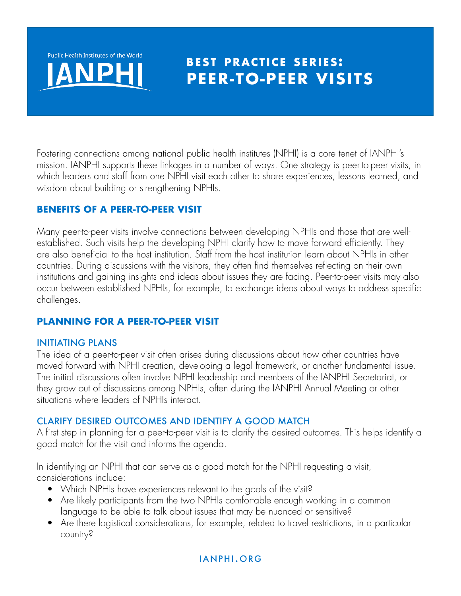

# **BEST PRACTICE SERIES: PEER-TO-PEER VISITS**

Fostering connections among national public health institutes (NPHI) is a core tenet of IANPHI's mission. IANPHI supports these linkages in a number of ways. One strategy is peer-to-peer visits, in which leaders and staff from one NPHI visit each other to share experiences, lessons learned, and wisdom about building or strengthening NPHIs.

#### **BENEFITS OF A PEER-TO-PEER VISIT**

Many peer-to-peer visits involve connections between developing NPHIs and those that are wellestablished. Such visits help the developing NPHI clarify how to move forward efficiently. They are also beneficial to the host institution. Staff from the host institution learn about NPHIs in other countries. During discussions with the visitors, they often find themselves reflecting on their own institutions and gaining insights and ideas about issues they are facing. Peer-to-peer visits may also occur between established NPHIs, for example, to exchange ideas about ways to address specific challenges.

## **PLANNING FOR A PEER-TO-PEER VISIT**

#### INITIATING PLANS

The idea of a peer-to-peer visit often arises during discussions about how other countries have moved forward with NPHI creation, developing a legal framework, or another fundamental issue. The initial discussions often involve NPHI leadership and members of the IANPHI Secretariat, or they grow out of discussions among NPHIs, often during the IANPHI Annual Meeting or other situations where leaders of NPHIs interact.

#### CLARIFY DESIRED OUTCOMES AND IDENTIFY A GOOD MATCH

A first step in planning for a peer-to-peer visit is to clarify the desired outcomes. This helps identify a good match for the visit and informs the agenda.

In identifying an NPHI that can serve as a good match for the NPHI requesting a visit, considerations include:

- Which NPHIs have experiences relevant to the goals of the visit?
- Are likely participants from the two NPHIs comfortable enough working in a common language to be able to talk about issues that may be nuanced or sensitive?
- Are there logistical considerations, for example, related to travel restrictions, in a particular country?

## ianphi.org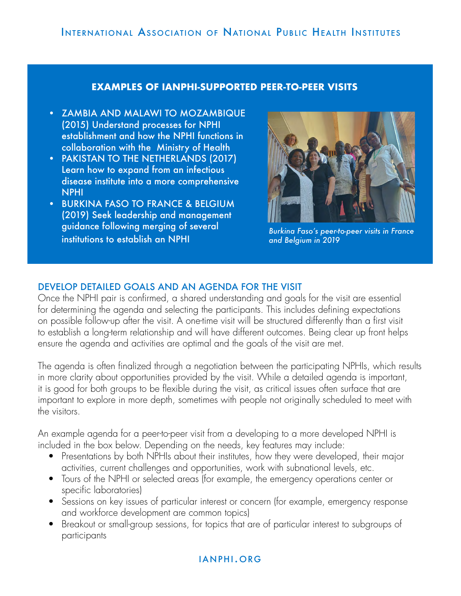#### **EXAMPLES OF IANPHI-SUPPORTED PEER-TO-PEER VISITS**

- ZAMBIA AND MALAWI TO MOZAMBIQUE (2015) Understand processes for NPHI establishment and how the NPHI functions in collaboration with the Ministry of Health
- PAKISTAN TO THE NETHERLANDS (2017) Learn how to expand from an infectious disease institute into a more comprehensive NPHI
- BURKINA FASO TO FRANCE & BELGIUM (2019) Seek leadership and management guidance following merging of several institutions to establish an NPHI



*Burkina Faso's peer-to-peer visits in France and Belgium in 2019*

#### DEVELOP DETAILED GOALS AND AN AGENDA FOR THE VISIT

Once the NPHI pair is confirmed, a shared understanding and goals for the visit are essential for determining the agenda and selecting the participants. This includes defining expectations on possible follow-up after the visit. A one-time visit will be structured differently than a first visit to establish a long-term relationship and will have different outcomes. Being clear up front helps ensure the agenda and activities are optimal and the goals of the visit are met.

The agenda is often finalized through a negotiation between the participating NPHIs, which results in more clarity about opportunities provided by the visit. While a detailed agenda is important, it is good for both groups to be flexible during the visit, as critical issues often surface that are important to explore in more depth, sometimes with people not originally scheduled to meet with the visitors.

An example agenda for a peer-to-peer visit from a developing to a more developed NPHI is included in the box below. Depending on the needs, key features may include:

- Presentations by both NPHIs about their institutes, how they were developed, their major activities, current challenges and opportunities, work with subnational levels, etc.
- Tours of the NPHI or selected areas (for example, the emergency operations center or specific laboratories)
- Sessions on key issues of particular interest or concern (for example, emergency response and workforce development are common topics)
- Breakout or small-group sessions, for topics that are of particular interest to subgroups of participants

#### ianphi.org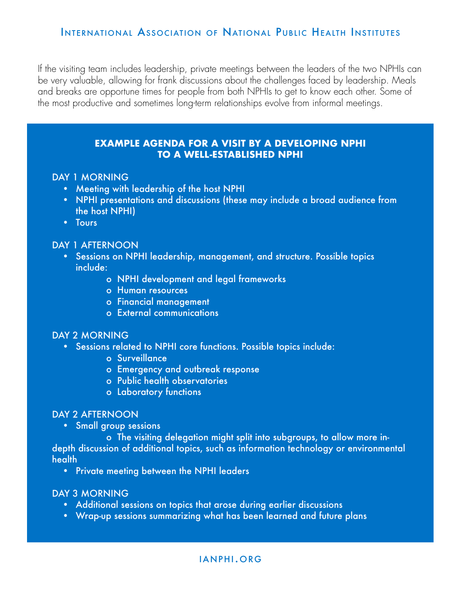If the visiting team includes leadership, private meetings between the leaders of the two NPHIs can be very valuable, allowing for frank discussions about the challenges faced by leadership. Meals and breaks are opportune times for people from both NPHIs to get to know each other. Some of the most productive and sometimes long-term relationships evolve from informal meetings.

#### **EXAMPLE AGENDA FOR A VISIT BY A DEVELOPING NPHI TO A WELL-ESTABLISHED NPHI**

#### DAY 1 MORNING

- Meeting with leadership of the host NPHI
- NPHI presentations and discussions (these may include a broad audience from the host NPHI)
- Tours

#### DAY 1 AFTERNOON

- Sessions on NPHI leadership, management, and structure. Possible topics include:
	- o NPHI development and legal frameworks
	- o Human resources
	- o Financial management
	- o External communications

#### DAY 2 MORNING

- Sessions related to NPHI core functions. Possible topics include:
	- o Surveillance
	- o Emergency and outbreak response
	- o Public health observatories
	- o Laboratory functions

#### DAY 2 AFTERNOON

• Small group sessions

 o The visiting delegation might split into subgroups, to allow more indepth discussion of additional topics, such as information technology or environmental health

• Private meeting between the NPHI leaders

#### DAY 3 MORNING

- Additional sessions on topics that arose during earlier discussions
- Wrap-up sessions summarizing what has been learned and future plans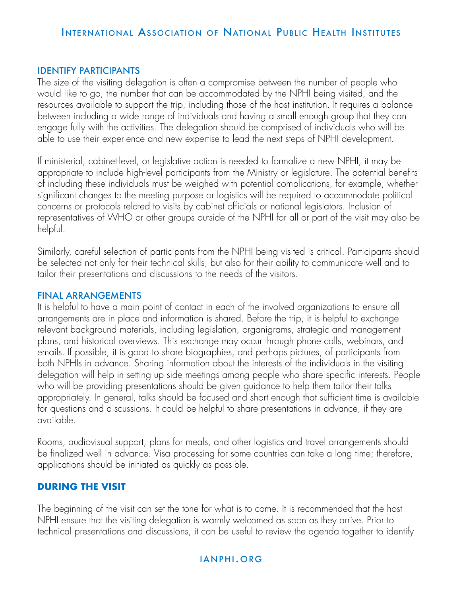#### IDENTIFY PARTICIPANTS

The size of the visiting delegation is often a compromise between the number of people who would like to go, the number that can be accommodated by the NPHI being visited, and the resources available to support the trip, including those of the host institution. It requires a balance between including a wide range of individuals and having a small enough group that they can engage fully with the activities. The delegation should be comprised of individuals who will be able to use their experience and new expertise to lead the next steps of NPHI development.

If ministerial, cabinet-level, or legislative action is needed to formalize a new NPHI, it may be appropriate to include high-level participants from the Ministry or legislature. The potential benefits of including these individuals must be weighed with potential complications, for example, whether significant changes to the meeting purpose or logistics will be required to accommodate political concerns or protocols related to visits by cabinet officials or national legislators. Inclusion of representatives of WHO or other groups outside of the NPHI for all or part of the visit may also be helpful.

Similarly, careful selection of participants from the NPHI being visited is critical. Participants should be selected not only for their technical skills, but also for their ability to communicate well and to tailor their presentations and discussions to the needs of the visitors.

#### FINAL ARRANGEMENTS

It is helpful to have a main point of contact in each of the involved organizations to ensure all arrangements are in place and information is shared. Before the trip, it is helpful to exchange relevant background materials, including legislation, organigrams, strategic and management plans, and historical overviews. This exchange may occur through phone calls, webinars, and emails. If possible, it is good to share biographies, and perhaps pictures, of participants from both NPHIs in advance. Sharing information about the interests of the individuals in the visiting delegation will help in setting up side meetings among people who share specific interests. People who will be providing presentations should be given guidance to help them tailor their talks appropriately. In general, talks should be focused and short enough that sufficient time is available for questions and discussions. It could be helpful to share presentations in advance, if they are available.

Rooms, audiovisual support, plans for meals, and other logistics and travel arrangements should be finalized well in advance. Visa processing for some countries can take a long time; therefore, applications should be initiated as quickly as possible.

#### **DURING THE VISIT**

The beginning of the visit can set the tone for what is to come. It is recommended that the host NPHI ensure that the visiting delegation is warmly welcomed as soon as they arrive. Prior to technical presentations and discussions, it can be useful to review the agenda together to identify

#### ianphi.org